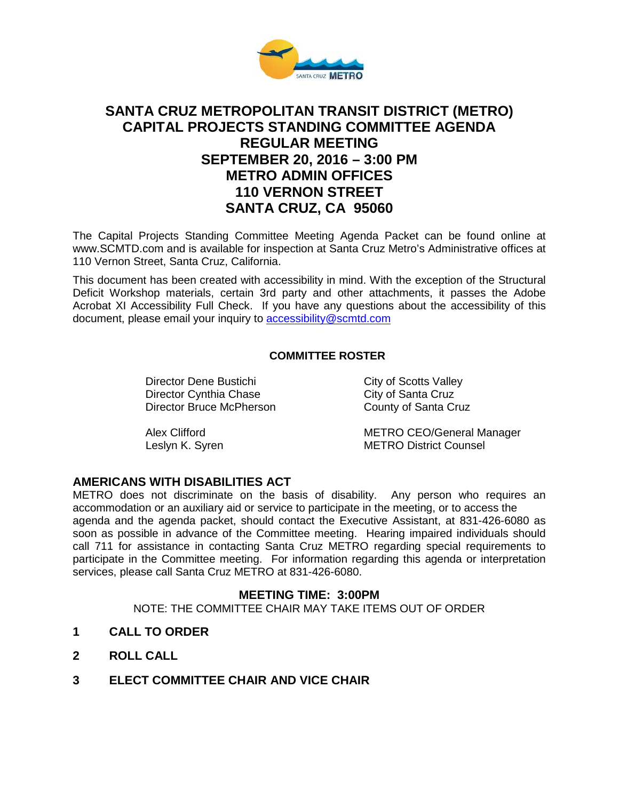

# **SANTA CRUZ METROPOLITAN TRANSIT DISTRICT (METRO) CAPITAL PROJECTS STANDING COMMITTEE AGENDA REGULAR MEETING SEPTEMBER 20, 2016 – 3:00 PM METRO ADMIN OFFICES 110 VERNON STREET SANTA CRUZ, CA 95060**

The Capital Projects Standing Committee Meeting Agenda Packet can be found online at www.SCMTD.com and is available for inspection at Santa Cruz Metro's Administrative offices at 110 Vernon Street, Santa Cruz, California.

This document has been created with accessibility in mind. With the exception of the Structural Deficit Workshop materials, certain 3rd party and other attachments, it passes the Adobe Acrobat XI Accessibility Full Check. If you have any questions about the accessibility of this document, please email your inquiry to [accessibility@scmtd.com](mailto:accessibility@scmtd.com)

## **COMMITTEE ROSTER**

Director Dene Bustichi City of Scotts Valley<br>
Director Cynthia Chase City of Santa Cruz Director Cynthia Chase<br>
Director Bruce McPherson<br>
County of Santa Cruz Director Bruce McPherson

Alex Clifford **METRO CEO/General Manager** Leslyn K. Syren **METRO District Counsel** 

### **AMERICANS WITH DISABILITIES ACT**

METRO does not discriminate on the basis of disability. Any person who requires an accommodation or an auxiliary aid or service to participate in the meeting, or to access the agenda and the agenda packet, should contact the Executive Assistant, at 831-426-6080 as soon as possible in advance of the Committee meeting. Hearing impaired individuals should call 711 for assistance in contacting Santa Cruz METRO regarding special requirements to participate in the Committee meeting. For information regarding this agenda or interpretation services, please call Santa Cruz METRO at 831-426-6080.

#### **MEETING TIME: 3:00PM**

NOTE: THE COMMITTEE CHAIR MAY TAKE ITEMS OUT OF ORDER

- **1 CALL TO ORDER**
- **2 ROLL CALL**
- **3 ELECT COMMITTEE CHAIR AND VICE CHAIR**